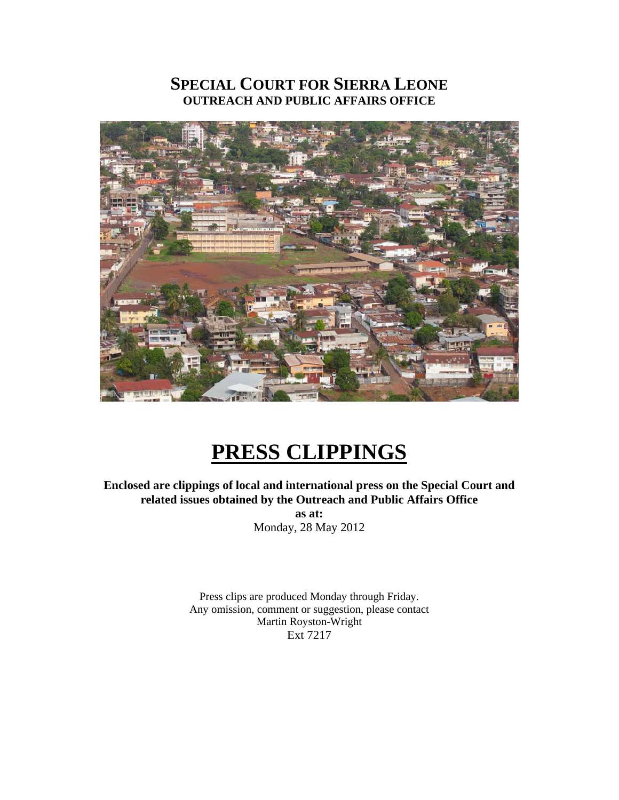# **SPECIAL COURT FOR SIERRA LEONE OUTREACH AND PUBLIC AFFAIRS OFFICE**



# **PRESS CLIPPINGS**

**Enclosed are clippings of local and international press on the Special Court and related issues obtained by the Outreach and Public Affairs Office as at:**  Monday, 28 May 2012

> Press clips are produced Monday through Friday. Any omission, comment or suggestion, please contact Martin Royston-Wright Ext 7217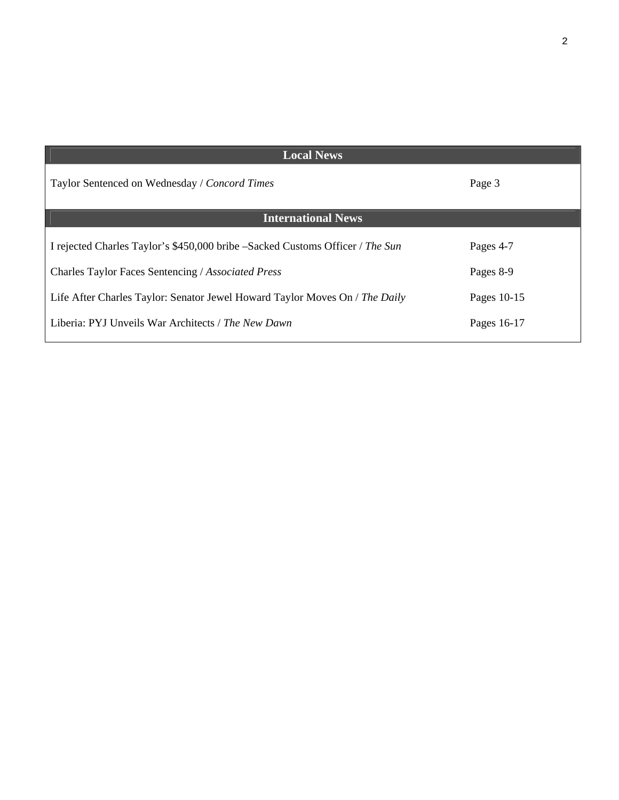| <b>Local News</b>                                                             |             |
|-------------------------------------------------------------------------------|-------------|
| Taylor Sentenced on Wednesday / Concord Times                                 | Page 3      |
| <b>International News</b>                                                     |             |
| I rejected Charles Taylor's \$450,000 bribe –Sacked Customs Officer / The Sun | Pages 4-7   |
| Charles Taylor Faces Sentencing / Associated Press                            | Pages 8-9   |
| Life After Charles Taylor: Senator Jewel Howard Taylor Moves On / The Daily   | Pages 10-15 |
| Liberia: PYJ Unveils War Architects / The New Dawn                            | Pages 16-17 |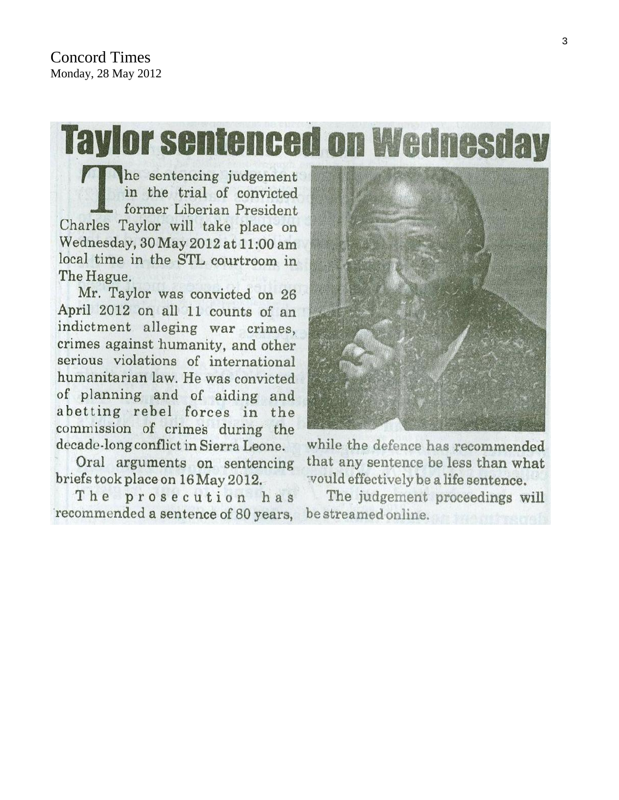**Taylor sentenced on Wednesday** 

he sentencing judgement in the trial of convicted former Liberian President Charles Taylor will take place on Wednesday, 30 May 2012 at 11:00 am local time in the STL courtroom in The Hague.

Mr. Taylor was convicted on 26 April 2012 on all 11 counts of an indictment alleging war crimes, crimes against humanity, and other serious violations of international humanitarian law. He was convicted of planning and of aiding and abetting rebel forces in the commission of crimes during the decade-long conflict in Sierra Leone.

Oral arguments on sentencing briefs took place on 16 May 2012.

The prosecution has recommended a sentence of 80 years,



while the defence has recommended that any sentence be less than what vould effectively be a life sentence.

The judgement proceedings will be streamed online.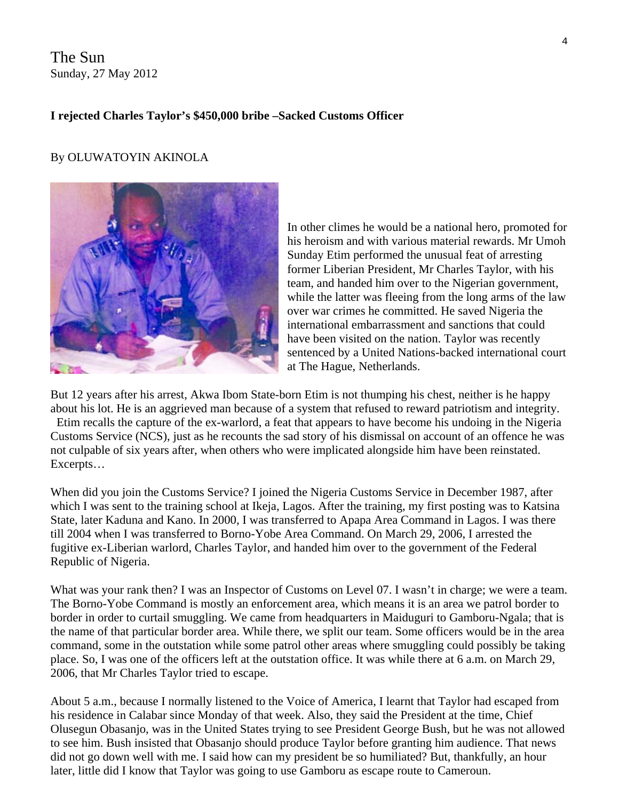The Sun Sunday, 27 May 2012

#### **I rejected Charles Taylor's \$450,000 bribe –Sacked Customs Officer**

#### By OLUWATOYIN AKINOLA



In other climes he would be a national hero, promoted for his heroism and with various material rewards. Mr Umoh Sunday Etim performed the unusual feat of arresting former Liberian President, Mr Charles Taylor, with his team, and handed him over to the Nigerian government, while the latter was fleeing from the long arms of the law over war crimes he committed. He saved Nigeria the international embarrassment and sanctions that could have been visited on the nation. Taylor was recently sentenced by a United Nations-backed international court at The Hague, Netherlands.

But 12 years after his arrest, Akwa Ibom State-born Etim is not thumping his chest, neither is he happy about his lot. He is an aggrieved man because of a system that refused to reward patriotism and integrity.

 Etim recalls the capture of the ex-warlord, a feat that appears to have become his undoing in the Nigeria Customs Service (NCS), just as he recounts the sad story of his dismissal on account of an offence he was not culpable of six years after, when others who were implicated alongside him have been reinstated. Excerpts…

When did you join the Customs Service? I joined the Nigeria Customs Service in December 1987, after which I was sent to the training school at Ikeja, Lagos. After the training, my first posting was to Katsina State, later Kaduna and Kano. In 2000, I was transferred to Apapa Area Command in Lagos. I was there till 2004 when I was transferred to Borno-Yobe Area Command. On March 29, 2006, I arrested the fugitive ex-Liberian warlord, Charles Taylor, and handed him over to the government of the Federal Republic of Nigeria.

What was your rank then? I was an Inspector of Customs on Level 07. I wasn't in charge; we were a team. The Borno-Yobe Command is mostly an enforcement area, which means it is an area we patrol border to border in order to curtail smuggling. We came from headquarters in Maiduguri to Gamboru-Ngala; that is the name of that particular border area. While there, we split our team. Some officers would be in the area command, some in the outstation while some patrol other areas where smuggling could possibly be taking place. So, I was one of the officers left at the outstation office. It was while there at 6 a.m. on March 29, 2006, that Mr Charles Taylor tried to escape.

About 5 a.m., because I normally listened to the Voice of America, I learnt that Taylor had escaped from his residence in Calabar since Monday of that week. Also, they said the President at the time, Chief Olusegun Obasanjo, was in the United States trying to see President George Bush, but he was not allowed to see him. Bush insisted that Obasanjo should produce Taylor before granting him audience. That news did not go down well with me. I said how can my president be so humiliated? But, thankfully, an hour later, little did I know that Taylor was going to use Gamboru as escape route to Cameroun.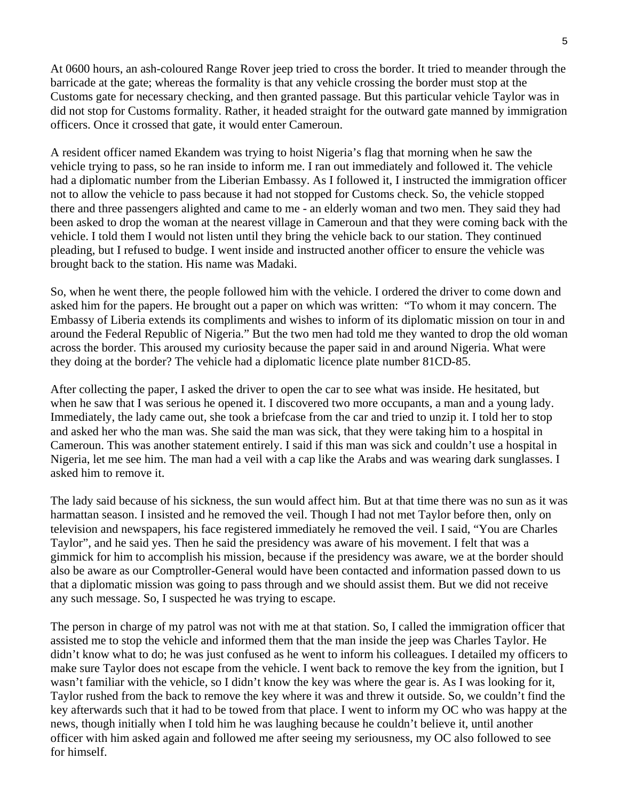At 0600 hours, an ash-coloured Range Rover jeep tried to cross the border. It tried to meander through the barricade at the gate; whereas the formality is that any vehicle crossing the border must stop at the Customs gate for necessary checking, and then granted passage. But this particular vehicle Taylor was in did not stop for Customs formality. Rather, it headed straight for the outward gate manned by immigration officers. Once it crossed that gate, it would enter Cameroun.

A resident officer named Ekandem was trying to hoist Nigeria's flag that morning when he saw the vehicle trying to pass, so he ran inside to inform me. I ran out immediately and followed it. The vehicle had a diplomatic number from the Liberian Embassy. As I followed it, I instructed the immigration officer not to allow the vehicle to pass because it had not stopped for Customs check. So, the vehicle stopped there and three passengers alighted and came to me - an elderly woman and two men. They said they had been asked to drop the woman at the nearest village in Cameroun and that they were coming back with the vehicle. I told them I would not listen until they bring the vehicle back to our station. They continued pleading, but I refused to budge. I went inside and instructed another officer to ensure the vehicle was brought back to the station. His name was Madaki.

So, when he went there, the people followed him with the vehicle. I ordered the driver to come down and asked him for the papers. He brought out a paper on which was written: "To whom it may concern. The Embassy of Liberia extends its compliments and wishes to inform of its diplomatic mission on tour in and around the Federal Republic of Nigeria." But the two men had told me they wanted to drop the old woman across the border. This aroused my curiosity because the paper said in and around Nigeria. What were they doing at the border? The vehicle had a diplomatic licence plate number 81CD-85.

After collecting the paper, I asked the driver to open the car to see what was inside. He hesitated, but when he saw that I was serious he opened it. I discovered two more occupants, a man and a young lady. Immediately, the lady came out, she took a briefcase from the car and tried to unzip it. I told her to stop and asked her who the man was. She said the man was sick, that they were taking him to a hospital in Cameroun. This was another statement entirely. I said if this man was sick and couldn't use a hospital in Nigeria, let me see him. The man had a veil with a cap like the Arabs and was wearing dark sunglasses. I asked him to remove it.

The lady said because of his sickness, the sun would affect him. But at that time there was no sun as it was harmattan season. I insisted and he removed the veil. Though I had not met Taylor before then, only on television and newspapers, his face registered immediately he removed the veil. I said, "You are Charles Taylor", and he said yes. Then he said the presidency was aware of his movement. I felt that was a gimmick for him to accomplish his mission, because if the presidency was aware, we at the border should also be aware as our Comptroller-General would have been contacted and information passed down to us that a diplomatic mission was going to pass through and we should assist them. But we did not receive any such message. So, I suspected he was trying to escape.

The person in charge of my patrol was not with me at that station. So, I called the immigration officer that assisted me to stop the vehicle and informed them that the man inside the jeep was Charles Taylor. He didn't know what to do; he was just confused as he went to inform his colleagues. I detailed my officers to make sure Taylor does not escape from the vehicle. I went back to remove the key from the ignition, but I wasn't familiar with the vehicle, so I didn't know the key was where the gear is. As I was looking for it, Taylor rushed from the back to remove the key where it was and threw it outside. So, we couldn't find the key afterwards such that it had to be towed from that place. I went to inform my OC who was happy at the news, though initially when I told him he was laughing because he couldn't believe it, until another officer with him asked again and followed me after seeing my seriousness, my OC also followed to see for himself.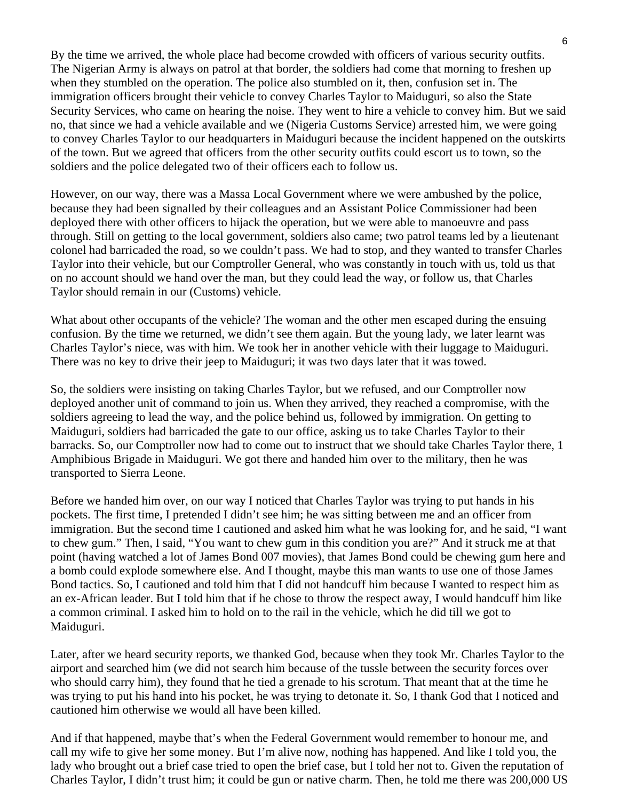By the time we arrived, the whole place had become crowded with officers of various security outfits. The Nigerian Army is always on patrol at that border, the soldiers had come that morning to freshen up when they stumbled on the operation. The police also stumbled on it, then, confusion set in. The immigration officers brought their vehicle to convey Charles Taylor to Maiduguri, so also the State Security Services, who came on hearing the noise. They went to hire a vehicle to convey him. But we said no, that since we had a vehicle available and we (Nigeria Customs Service) arrested him, we were going to convey Charles Taylor to our headquarters in Maiduguri because the incident happened on the outskirts of the town. But we agreed that officers from the other security outfits could escort us to town, so the soldiers and the police delegated two of their officers each to follow us.

However, on our way, there was a Massa Local Government where we were ambushed by the police, because they had been signalled by their colleagues and an Assistant Police Commissioner had been deployed there with other officers to hijack the operation, but we were able to manoeuvre and pass through. Still on getting to the local government, soldiers also came; two patrol teams led by a lieutenant colonel had barricaded the road, so we couldn't pass. We had to stop, and they wanted to transfer Charles Taylor into their vehicle, but our Comptroller General, who was constantly in touch with us, told us that on no account should we hand over the man, but they could lead the way, or follow us, that Charles Taylor should remain in our (Customs) vehicle.

What about other occupants of the vehicle? The woman and the other men escaped during the ensuing confusion. By the time we returned, we didn't see them again. But the young lady, we later learnt was Charles Taylor's niece, was with him. We took her in another vehicle with their luggage to Maiduguri. There was no key to drive their jeep to Maiduguri; it was two days later that it was towed.

So, the soldiers were insisting on taking Charles Taylor, but we refused, and our Comptroller now deployed another unit of command to join us. When they arrived, they reached a compromise, with the soldiers agreeing to lead the way, and the police behind us, followed by immigration. On getting to Maiduguri, soldiers had barricaded the gate to our office, asking us to take Charles Taylor to their barracks. So, our Comptroller now had to come out to instruct that we should take Charles Taylor there, 1 Amphibious Brigade in Maiduguri. We got there and handed him over to the military, then he was transported to Sierra Leone.

Before we handed him over, on our way I noticed that Charles Taylor was trying to put hands in his pockets. The first time, I pretended I didn't see him; he was sitting between me and an officer from immigration. But the second time I cautioned and asked him what he was looking for, and he said, "I want to chew gum." Then, I said, "You want to chew gum in this condition you are?" And it struck me at that point (having watched a lot of James Bond 007 movies), that James Bond could be chewing gum here and a bomb could explode somewhere else. And I thought, maybe this man wants to use one of those James Bond tactics. So, I cautioned and told him that I did not handcuff him because I wanted to respect him as an ex-African leader. But I told him that if he chose to throw the respect away, I would handcuff him like a common criminal. I asked him to hold on to the rail in the vehicle, which he did till we got to Maiduguri.

Later, after we heard security reports, we thanked God, because when they took Mr. Charles Taylor to the airport and searched him (we did not search him because of the tussle between the security forces over who should carry him), they found that he tied a grenade to his scrotum. That meant that at the time he was trying to put his hand into his pocket, he was trying to detonate it. So, I thank God that I noticed and cautioned him otherwise we would all have been killed.

And if that happened, maybe that's when the Federal Government would remember to honour me, and call my wife to give her some money. But I'm alive now, nothing has happened. And like I told you, the lady who brought out a brief case tried to open the brief case, but I told her not to. Given the reputation of Charles Taylor, I didn't trust him; it could be gun or native charm. Then, he told me there was 200,000 US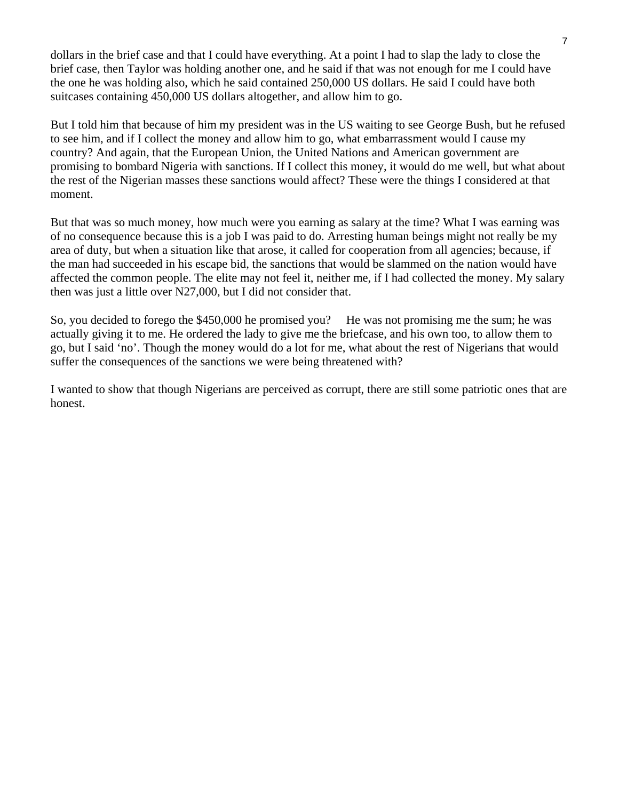dollars in the brief case and that I could have everything. At a point I had to slap the lady to close the brief case, then Taylor was holding another one, and he said if that was not enough for me I could have the one he was holding also, which he said contained 250,000 US dollars. He said I could have both suitcases containing 450,000 US dollars altogether, and allow him to go.

But I told him that because of him my president was in the US waiting to see George Bush, but he refused to see him, and if I collect the money and allow him to go, what embarrassment would I cause my country? And again, that the European Union, the United Nations and American government are promising to bombard Nigeria with sanctions. If I collect this money, it would do me well, but what about the rest of the Nigerian masses these sanctions would affect? These were the things I considered at that moment.

But that was so much money, how much were you earning as salary at the time? What I was earning was of no consequence because this is a job I was paid to do. Arresting human beings might not really be my area of duty, but when a situation like that arose, it called for cooperation from all agencies; because, if the man had succeeded in his escape bid, the sanctions that would be slammed on the nation would have affected the common people. The elite may not feel it, neither me, if I had collected the money. My salary then was just a little over N27,000, but I did not consider that.

So, you decided to forego the \$450,000 he promised you? He was not promising me the sum; he was actually giving it to me. He ordered the lady to give me the briefcase, and his own too, to allow them to go, but I said 'no'. Though the money would do a lot for me, what about the rest of Nigerians that would suffer the consequences of the sanctions we were being threatened with?

I wanted to show that though Nigerians are perceived as corrupt, there are still some patriotic ones that are honest.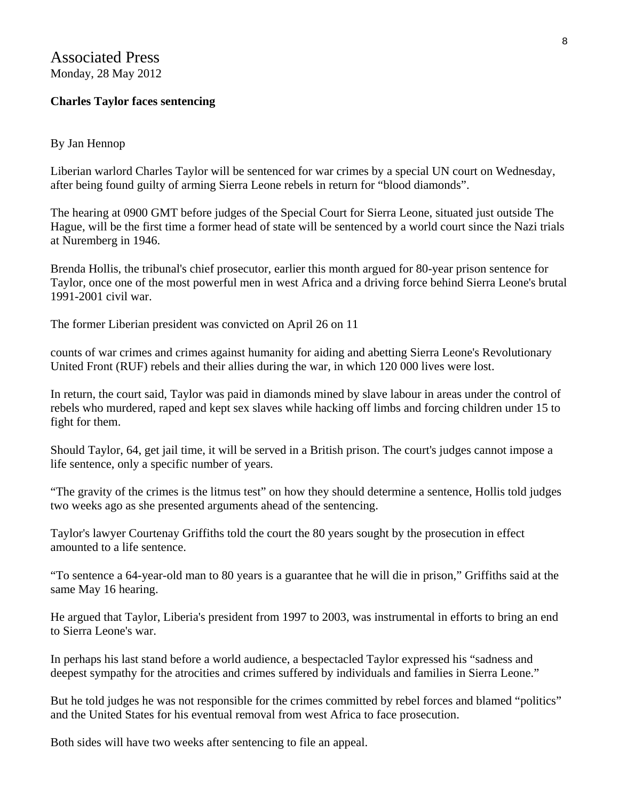Associated Press Monday, 28 May 2012

#### **Charles Taylor faces sentencing**

#### By Jan Hennop

Liberian warlord Charles Taylor will be sentenced for war crimes by a special UN court on Wednesday, after being found guilty of arming Sierra Leone rebels in return for "blood diamonds".

The hearing at 0900 GMT before judges of the Special Court for Sierra Leone, situated just outside The Hague, will be the first time a former head of state will be sentenced by a world court since the Nazi trials at Nuremberg in 1946.

Brenda Hollis, the tribunal's chief prosecutor, earlier this month argued for 80-year prison sentence for Taylor, once one of the most powerful men in west Africa and a driving force behind Sierra Leone's brutal 1991-2001 civil war.

The former Liberian president was convicted on April 26 on 11

counts of war crimes and crimes against humanity for aiding and abetting Sierra Leone's Revolutionary United Front (RUF) rebels and their allies during the war, in which 120 000 lives were lost.

In return, the court said, Taylor was paid in diamonds mined by slave labour in areas under the control of rebels who murdered, raped and kept sex slaves while hacking off limbs and forcing children under 15 to fight for them.

Should Taylor, 64, get jail time, it will be served in a British prison. The court's judges cannot impose a life sentence, only a specific number of years.

"The gravity of the crimes is the litmus test" on how they should determine a sentence, Hollis told judges two weeks ago as she presented arguments ahead of the sentencing.

Taylor's lawyer Courtenay Griffiths told the court the 80 years sought by the prosecution in effect amounted to a life sentence.

"To sentence a 64-year-old man to 80 years is a guarantee that he will die in prison," Griffiths said at the same May 16 hearing.

He argued that Taylor, Liberia's president from 1997 to 2003, was instrumental in efforts to bring an end to Sierra Leone's war.

In perhaps his last stand before a world audience, a bespectacled Taylor expressed his "sadness and deepest sympathy for the atrocities and crimes suffered by individuals and families in Sierra Leone."

But he told judges he was not responsible for the crimes committed by rebel forces and blamed "politics" and the United States for his eventual removal from west Africa to face prosecution.

Both sides will have two weeks after sentencing to file an appeal.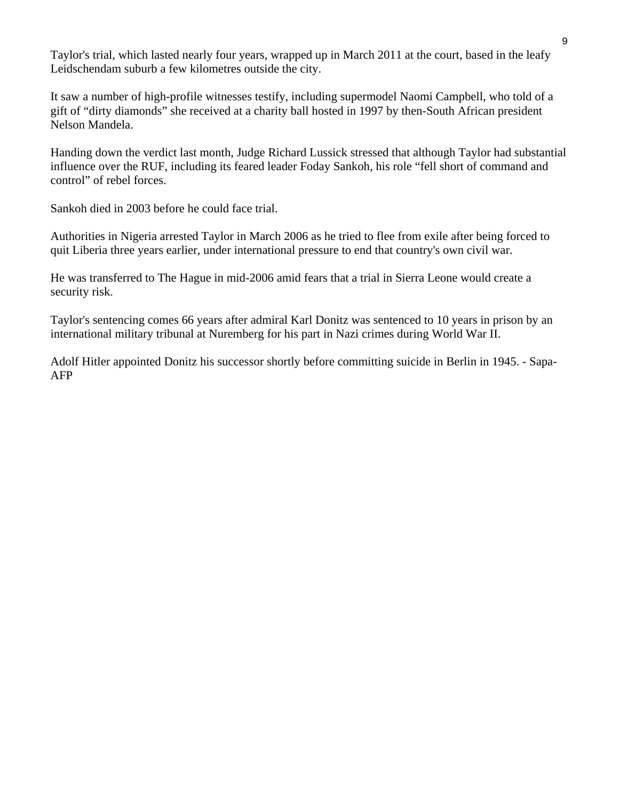Taylor's trial, which lasted nearly four years, wrapped up in March 2011 at the court, based in the leafy Leidschendam suburb a few kilometres outside the city.

It saw a number of high-profile witnesses testify, including supermodel Naomi Campbell, who told of a gift of "dirty diamonds" she received at a charity ball hosted in 1997 by then-South African president Nelson Mandela.

Handing down the verdict last month, Judge Richard Lussick stressed that although Taylor had substantial influence over the RUF, including its feared leader Foday Sankoh, his role "fell short of command and control" of rebel forces.

Sankoh died in 2003 before he could face trial.

Authorities in Nigeria arrested Taylor in March 2006 as he tried to flee from exile after being forced to quit Liberia three years earlier, under international pressure to end that country's own civil war.

He was transferred to The Hague in mid-2006 amid fears that a trial in Sierra Leone would create a security risk.

Taylor's sentencing comes 66 years after admiral Karl Donitz was sentenced to 10 years in prison by an international military tribunal at Nuremberg for his part in Nazi crimes during World War II.

Adolf Hitler appointed Donitz his successor shortly before committing suicide in Berlin in 1945. - Sapa-AFP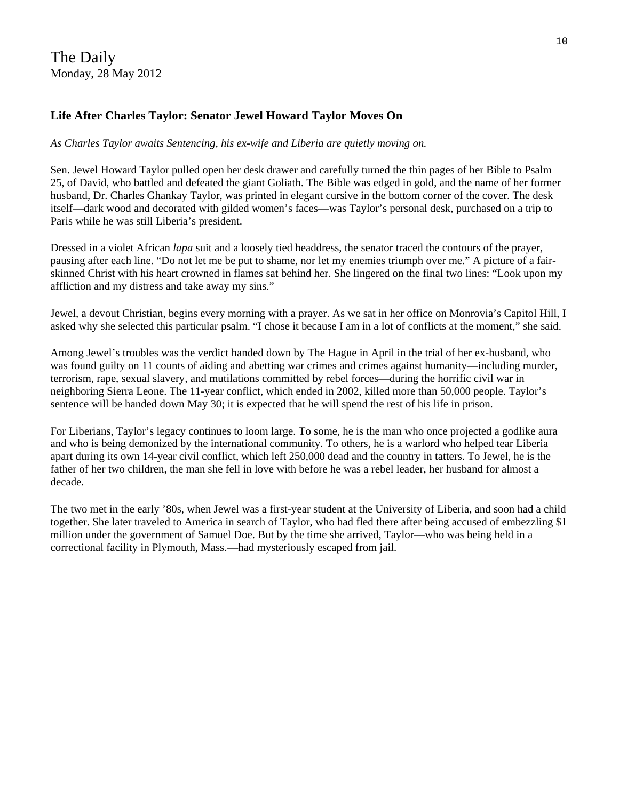The Daily Monday, 28 May 2012

#### **Life After Charles Taylor: Senator Jewel Howard Taylor Moves On**

#### *As Charles Taylor awaits Sentencing, his ex-wife and Liberia are quietly moving on.*

Sen. Jewel Howard Taylor pulled open her desk drawer and carefully turned the thin pages of her Bible to Psalm 25, of David, who battled and defeated the giant Goliath. The Bible was edged in gold, and the name of her former husband, Dr. Charles Ghankay Taylor, was printed in elegant cursive in the bottom corner of the cover. The desk itself—dark wood and decorated with gilded women's faces—was Taylor's personal desk, purchased on a trip to Paris while he was still Liberia's president.

Dressed in a violet African *lapa* suit and a loosely tied headdress, the senator traced the contours of the prayer, pausing after each line. "Do not let me be put to shame, nor let my enemies triumph over me." A picture of a fairskinned Christ with his heart crowned in flames sat behind her. She lingered on the final two lines: "Look upon my affliction and my distress and take away my sins."

Jewel, a devout Christian, begins every morning with a prayer. As we sat in her office on Monrovia's Capitol Hill, I asked why she selected this particular psalm. "I chose it because I am in a lot of conflicts at the moment," she said.

Among Jewel's troubles was the verdict handed down by The Hague in April in the trial of her ex-husband, who was found guilty on 11 counts of aiding and abetting war crimes and crimes against humanity—including murder, terrorism, rape, sexual slavery, and mutilations committed by rebel forces—during the horrific civil war in neighboring Sierra Leone. The 11-year conflict, which ended in 2002, killed more than 50,000 people. Taylor's sentence will be handed down May 30; it is expected that he will spend the rest of his life in prison.

For Liberians, Taylor's legacy continues to loom large. To some, he is the man who once projected a godlike aura and who is being demonized by the international community. To others, he is a warlord who helped tear Liberia apart during its own 14-year civil conflict, which left 250,000 dead and the country in tatters. To Jewel, he is the father of her two children, the man she fell in love with before he was a rebel leader, her husband for almost a decade.

The two met in the early '80s, when Jewel was a first-year student at the University of Liberia, and soon had a child together. She later traveled to America in search of Taylor, who had fled there after being accused of embezzling \$1 million under the government of Samuel Doe. But by the time she arrived, Taylor—who was being held in a correctional facility in Plymouth, Mass.—had mysteriously escaped from jail.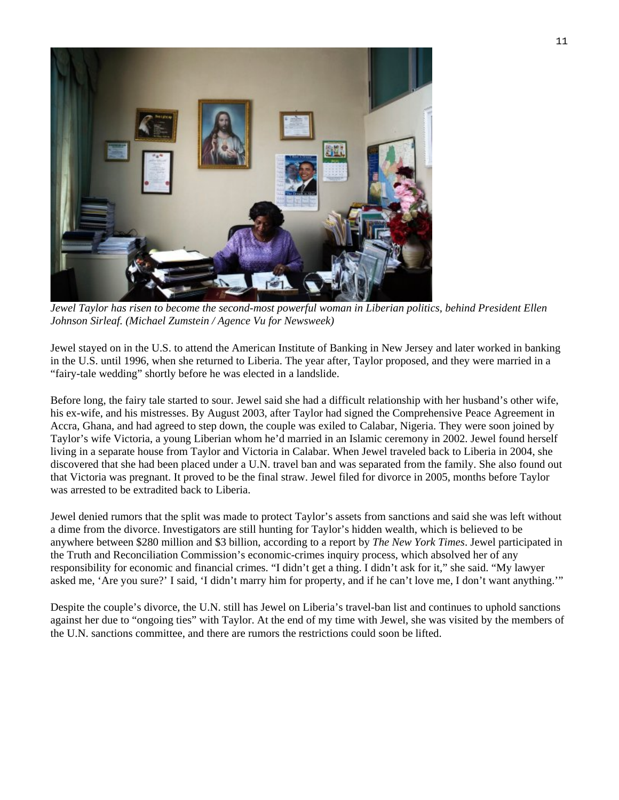

*[Jewel Taylor has risen to become the second-most powerful woman in Liberian politics](http://www.thedailybeast.com/newsweek/galleries/2012/05/27/looking-forward-in-liberia-michael-zumstein-photos.html), behind President Ellen Johnson Sirleaf. (Michael Zumstein / Agence Vu for Newsweek)* 

Jewel stayed on in the U.S. to attend the American Institute of Banking in New Jersey and later worked in banking in the U.S. until 1996, when she returned to Liberia. The year after, Taylor proposed, and they were married in a "fairy-tale wedding" shortly before he was elected in a landslide.

Before long, the fairy tale started to sour. Jewel said she had a difficult relationship with her husband's other wife, his ex-wife, and his mistresses. By August 2003, after Taylor had signed the Comprehensive Peace Agreement in Accra, Ghana, and had agreed to step down, the couple was exiled to Calabar, Nigeria. They were soon joined by Taylor's wife Victoria, a young Liberian whom he'd married in an Islamic ceremony in 2002. Jewel found herself living in a separate house from Taylor and Victoria in Calabar. When Jewel traveled back to Liberia in 2004, she discovered that she had been placed under a U.N. travel ban and was separated from the family. She also found out that Victoria was pregnant. It proved to be the final straw. Jewel filed for divorce in 2005, months before Taylor was arrested to be extradited back to Liberia.

Jewel denied rumors that the split was made to protect Taylor's assets from sanctions and said she was left without a dime from the divorce. Investigators are still hunting for Taylor's hidden wealth, which is believed to be anywhere between \$280 million and \$3 billion, according to a report by *The New York Times*. Jewel participated in the Truth and Reconciliation Commission's economic-crimes inquiry process, which absolved her of any responsibility for economic and financial crimes. "I didn't get a thing. I didn't ask for it," she said. "My lawyer asked me, 'Are you sure?' I said, 'I didn't marry him for property, and if he can't love me, I don't want anything.'"

Despite the couple's divorce, the U.N. still has Jewel on Liberia's travel-ban list and continues to uphold sanctions against her due to "ongoing ties" with Taylor. At the end of my time with Jewel, she was visited by the members of the U.N. sanctions committee, and there are rumors the restrictions could soon be lifted.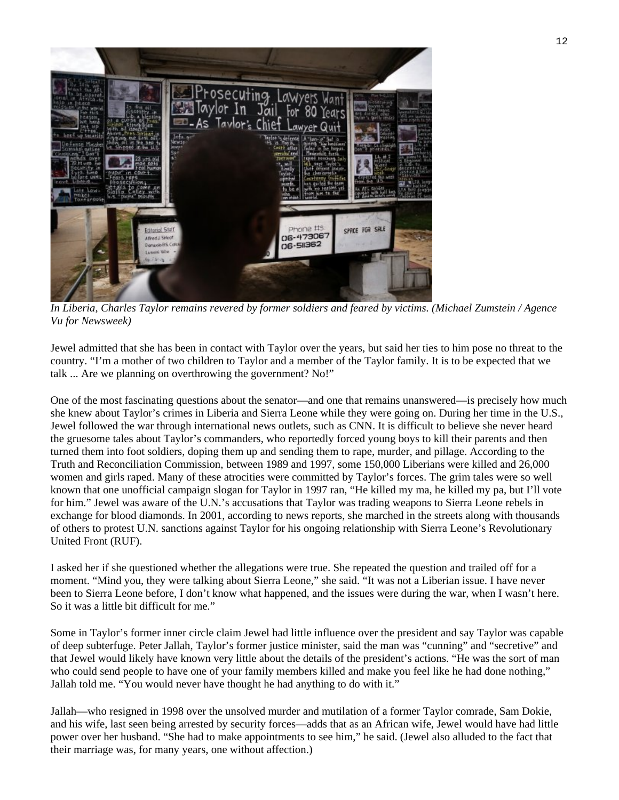

*[In Liberia, Charles Taylor remains revered by former soldiers and feared by victims. \(M](http://www.thedailybeast.com/newsweek/galleries/2012/05/27/looking-forward-in-liberia-michael-zumstein-photos.html)ichael Zumstein / Agence Vu for Newsweek)* 

Jewel admitted that she has been in contact with Taylor over the years, but said her ties to him pose no threat to the country. "I'm a mother of two children to Taylor and a member of the Taylor family. It is to be expected that we talk ... Are we planning on overthrowing the government? No!"

One of the most fascinating questions about the senator—and one that remains unanswered—is precisely how much she knew about Taylor's crimes in Liberia and Sierra Leone while they were going on. During her time in the U.S., Jewel followed the war through international news outlets, such as CNN. It is difficult to believe she never heard the gruesome tales about Taylor's commanders, who reportedly forced young boys to kill their parents and then turned them into foot soldiers, doping them up and sending them to rape, murder, and pillage. According to the Truth and Reconciliation Commission, between 1989 and 1997, some 150,000 Liberians were killed and 26,000 women and girls raped. Many of these atrocities were committed by Taylor's forces. The grim tales were so well known that one unofficial campaign slogan for Taylor in 1997 ran, "He killed my ma, he killed my pa, but I'll vote for him." Jewel was aware of the U.N.'s accusations that Taylor was trading weapons to Sierra Leone rebels in exchange for blood diamonds. In 2001, according to news reports, she marched in the streets along with thousands of others to protest U.N. sanctions against Taylor for his ongoing relationship with Sierra Leone's Revolutionary United Front (RUF).

I asked her if she questioned whether the allegations were true. She repeated the question and trailed off for a moment. "Mind you, they were talking about Sierra Leone," she said. "It was not a Liberian issue. I have never been to Sierra Leone before, I don't know what happened, and the issues were during the war, when I wasn't here. So it was a little bit difficult for me."

Some in Taylor's former inner circle claim Jewel had little influence over the president and say Taylor was capable of deep subterfuge. Peter Jallah, Taylor's former justice minister, said the man was "cunning" and "secretive" and that Jewel would likely have known very little about the details of the president's actions. "He was the sort of man who could send people to have one of your family members killed and make you feel like he had done nothing," Jallah told me. "You would never have thought he had anything to do with it."

Jallah—who resigned in 1998 over the unsolved murder and mutilation of a former Taylor comrade, Sam Dokie, and his wife, last seen being arrested by security forces—adds that as an African wife, Jewel would have had little power over her husband. "She had to make appointments to see him," he said. (Jewel also alluded to the fact that their marriage was, for many years, one without affection.)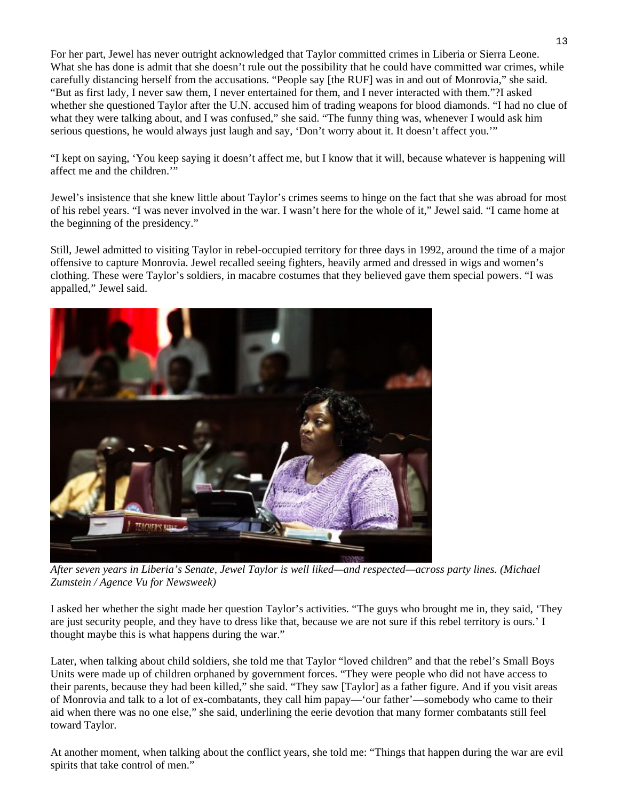For her part, Jewel has never outright acknowledged that Taylor committed crimes in Liberia or Sierra Leone. What she has done is admit that she doesn't rule out the possibility that he could have committed war crimes, while carefully distancing herself from the accusations. "People say [the RUF] was in and out of Monrovia," she said. "But as first lady, I never saw them, I never entertained for them, and I never interacted with them."?I asked whether she questioned Taylor after the U.N. accused him of trading weapons for blood diamonds. "I had no clue of what they were talking about, and I was confused," she said. "The funny thing was, whenever I would ask him serious questions, he would always just laugh and say, 'Don't worry about it. It doesn't affect you.'"

"I kept on saying, 'You keep saying it doesn't affect me, but I know that it will, because whatever is happening will affect me and the children.'"

Jewel's insistence that she knew little about Taylor's crimes seems to hinge on the fact that she was abroad for most of his rebel years. "I was never involved in the war. I wasn't here for the whole of it," Jewel said. "I came home at the beginning of the presidency."

Still, Jewel admitted to visiting Taylor in rebel-occupied territory for three days in 1992, around the time of a major offensive to capture Monrovia. Jewel recalled seeing fighters, heavily armed and dressed in wigs and women's clothing. These were Taylor's soldiers, in macabre costumes that they believed gave them special powers. "I was appalled," Jewel said.



*[After seven years in Liberia's Senate, Jewel Taylor is well liked—and respected—acro](http://www.thedailybeast.com/newsweek/galleries/2012/05/27/looking-forward-in-liberia-michael-zumstein-photos.html)ss party lines. (Michael Zumstein / Agence Vu for Newsweek)* 

I asked her whether the sight made her question Taylor's activities. "The guys who brought me in, they said, 'They are just security people, and they have to dress like that, because we are not sure if this rebel territory is ours.' I thought maybe this is what happens during the war."

Later, when talking about child soldiers, she told me that Taylor "loved children" and that the rebel's Small Boys Units were made up of children orphaned by government forces. "They were people who did not have access to their parents, because they had been killed," she said. "They saw [Taylor] as a father figure. And if you visit areas of Monrovia and talk to a lot of ex-combatants, they call him papay—'our father'—somebody who came to their aid when there was no one else," she said, underlining the eerie devotion that many former combatants still feel toward Taylor.

At another moment, when talking about the conflict years, she told me: "Things that happen during the war are evil spirits that take control of men."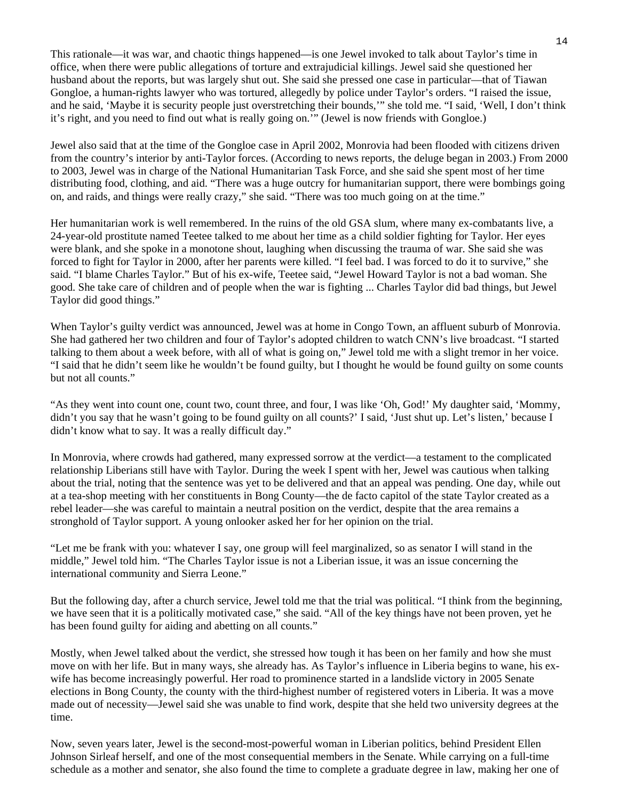This rationale—it was war, and chaotic things happened—is one Jewel invoked to talk about Taylor's time in office, when there were public allegations of torture and extrajudicial killings. Jewel said she questioned her husband about the reports, but was largely shut out. She said she pressed one case in particular—that of Tiawan Gongloe, a human-rights lawyer who was tortured, allegedly by police under Taylor's orders. "I raised the issue, and he said, 'Maybe it is security people just overstretching their bounds,'" she told me. "I said, 'Well, I don't think it's right, and you need to find out what is really going on.'" (Jewel is now friends with Gongloe.)

Jewel also said that at the time of the Gongloe case in April 2002, Monrovia had been flooded with citizens driven from the country's interior by anti-Taylor forces. (According to news reports, the deluge began in 2003.) From 2000 to 2003, Jewel was in charge of the National Humanitarian Task Force, and she said she spent most of her time distributing food, clothing, and aid. "There was a huge outcry for humanitarian support, there were bombings going on, and raids, and things were really crazy," she said. "There was too much going on at the time."

Her humanitarian work is well remembered. In the ruins of the old GSA slum, where many ex-combatants live, a 24-year-old prostitute named Teetee talked to me about her time as a child soldier fighting for Taylor. Her eyes were blank, and she spoke in a monotone shout, laughing when discussing the trauma of war. She said she was forced to fight for Taylor in 2000, after her parents were killed. "I feel bad. I was forced to do it to survive," she said. "I blame Charles Taylor." But of his ex-wife, Teetee said, "Jewel Howard Taylor is not a bad woman. She good. She take care of children and of people when the war is fighting ... Charles Taylor did bad things, but Jewel Taylor did good things."

When Taylor's guilty verdict was announced, Jewel was at home in Congo Town, an affluent suburb of Monrovia. She had gathered her two children and four of Taylor's adopted children to watch CNN's live broadcast. "I started talking to them about a week before, with all of what is going on," Jewel told me with a slight tremor in her voice. "I said that he didn't seem like he wouldn't be found guilty, but I thought he would be found guilty on some counts but not all counts."

"As they went into count one, count two, count three, and four, I was like 'Oh, God!' My daughter said, 'Mommy, didn't you say that he wasn't going to be found guilty on all counts?' I said, 'Just shut up. Let's listen,' because I didn't know what to say. It was a really difficult day."

In Monrovia, where crowds had gathered, many expressed sorrow at the verdict—a testament to the complicated relationship Liberians still have with Taylor. During the week I spent with her, Jewel was cautious when talking about the trial, noting that the sentence was yet to be delivered and that an appeal was pending. One day, while out at a tea-shop meeting with her constituents in Bong County—the de facto capitol of the state Taylor created as a rebel leader—she was careful to maintain a neutral position on the verdict, despite that the area remains a stronghold of Taylor support. A young onlooker asked her for her opinion on the trial.

"Let me be frank with you: whatever I say, one group will feel marginalized, so as senator I will stand in the middle," Jewel told him. "The Charles Taylor issue is not a Liberian issue, it was an issue concerning the international community and Sierra Leone."

But the following day, after a church service, Jewel told me that the trial was political. "I think from the beginning, we have seen that it is a politically motivated case," she said. "All of the key things have not been proven, yet he has been found guilty for aiding and abetting on all counts."

Mostly, when Jewel talked about the verdict, she stressed how tough it has been on her family and how she must move on with her life. But in many ways, she already has. As Taylor's influence in Liberia begins to wane, his exwife has become increasingly powerful. Her road to prominence started in a landslide victory in 2005 Senate elections in Bong County, the county with the third-highest number of registered voters in Liberia. It was a move made out of necessity—Jewel said she was unable to find work, despite that she held two university degrees at the time.

Now, seven years later, Jewel is the second-most-powerful woman in Liberian politics, behind President Ellen Johnson Sirleaf herself, and one of the most consequential members in the Senate. While carrying on a full-time schedule as a mother and senator, she also found the time to complete a graduate degree in law, making her one of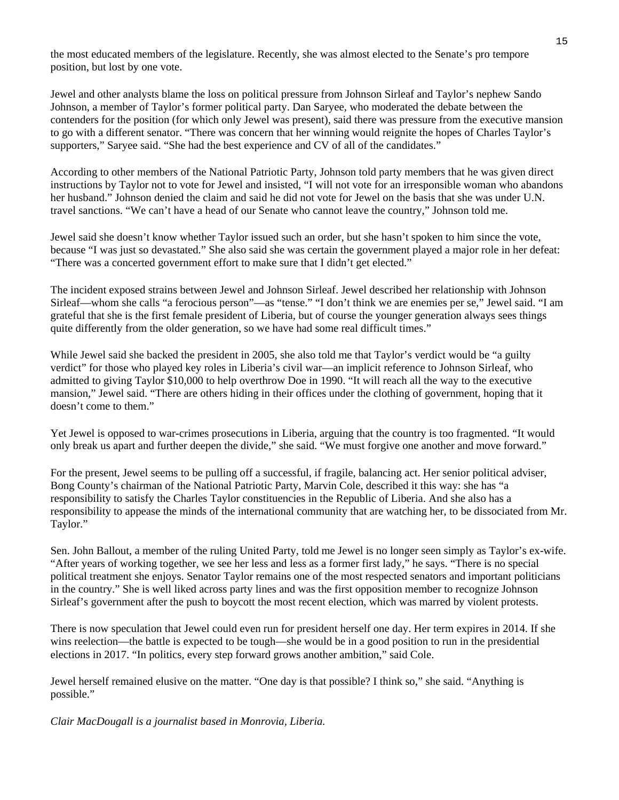the most educated members of the legislature. Recently, she was almost elected to the Senate's pro tempore position, but lost by one vote.

Jewel and other analysts blame the loss on political pressure from Johnson Sirleaf and Taylor's nephew Sando Johnson, a member of Taylor's former political party. Dan Saryee, who moderated the debate between the contenders for the position (for which only Jewel was present), said there was pressure from the executive mansion to go with a different senator. "There was concern that her winning would reignite the hopes of Charles Taylor's supporters," Saryee said. "She had the best experience and CV of all of the candidates."

According to other members of the National Patriotic Party, Johnson told party members that he was given direct instructions by Taylor not to vote for Jewel and insisted, "I will not vote for an irresponsible woman who abandons her husband." Johnson denied the claim and said he did not vote for Jewel on the basis that she was under U.N. travel sanctions. "We can't have a head of our Senate who cannot leave the country," Johnson told me.

Jewel said she doesn't know whether Taylor issued such an order, but she hasn't spoken to him since the vote, because "I was just so devastated." She also said she was certain the government played a major role in her defeat: "There was a concerted government effort to make sure that I didn't get elected."

The incident exposed strains between Jewel and Johnson Sirleaf. Jewel described her relationship with Johnson Sirleaf—whom she calls "a ferocious person"—as "tense." "I don't think we are enemies per se," Jewel said. "I am grateful that she is the first female president of Liberia, but of course the younger generation always sees things quite differently from the older generation, so we have had some real difficult times."

While Jewel said she backed the president in 2005, she also told me that Taylor's verdict would be "a guilty" verdict" for those who played key roles in Liberia's civil war—an implicit reference to Johnson Sirleaf, who admitted to giving Taylor \$10,000 to help overthrow Doe in 1990. "It will reach all the way to the executive mansion," Jewel said. "There are others hiding in their offices under the clothing of government, hoping that it doesn't come to them."

Yet Jewel is opposed to war-crimes prosecutions in Liberia, arguing that the country is too fragmented. "It would only break us apart and further deepen the divide," she said. "We must forgive one another and move forward."

For the present, Jewel seems to be pulling off a successful, if fragile, balancing act. Her senior political adviser, Bong County's chairman of the National Patriotic Party, Marvin Cole, described it this way: she has "a responsibility to satisfy the Charles Taylor constituencies in the Republic of Liberia. And she also has a responsibility to appease the minds of the international community that are watching her, to be dissociated from Mr. Taylor."

Sen. John Ballout, a member of the ruling United Party, told me Jewel is no longer seen simply as Taylor's ex-wife. "After years of working together, we see her less and less as a former first lady," he says. "There is no special political treatment she enjoys. Senator Taylor remains one of the most respected senators and important politicians in the country." She is well liked across party lines and was the first opposition member to recognize Johnson Sirleaf's government after the push to boycott the most recent election, which was marred by violent protests.

There is now speculation that Jewel could even run for president herself one day. Her term expires in 2014. If she wins reelection—the battle is expected to be tough—she would be in a good position to run in the presidential elections in 2017. "In politics, every step forward grows another ambition," said Cole.

Jewel herself remained elusive on the matter. "One day is that possible? I think so," she said. "Anything is possible."

*Clair MacDougall is a journalist based in Monrovia, Liberia.*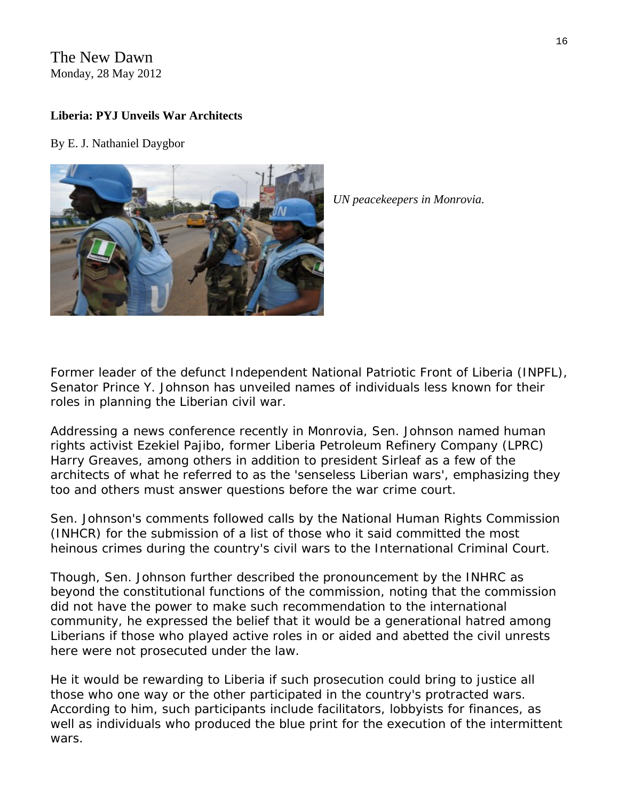## The New Dawn Monday, 28 May 2012

## **Liberia: PYJ Unveils War Architects**

By E. J. Nathaniel Daygbor



*UN peacekeepers in Monrovia.* 

Former leader of the defunct Independent National Patriotic Front of Liberia (INPFL), Senator Prince Y. Johnson has unveiled names of individuals less known for their roles in planning the Liberian civil war.

Addressing a news conference recently in Monrovia, Sen. Johnson named human rights activist Ezekiel Pajibo, former Liberia Petroleum Refinery Company (LPRC) Harry Greaves, among others in addition to president Sirleaf as a few of the architects of what he referred to as the 'senseless Liberian wars', emphasizing they too and others must answer questions before the war crime court.

Sen. Johnson's comments followed calls by the National Human Rights Commission (INHCR) for the submission of a list of those who it said committed the most heinous crimes during the country's civil wars to the International Criminal Court.

Though, Sen. Johnson further described the pronouncement by the INHRC as beyond the constitutional functions of the commission, noting that the commission did not have the power to make such recommendation to the international community, he expressed the belief that it would be a generational hatred among Liberians if those who played active roles in or aided and abetted the civil unrests here were not prosecuted under the law.

He it would be rewarding to Liberia if such prosecution could bring to justice all those who one way or the other participated in the country's protracted wars. According to him, such participants include facilitators, lobbyists for finances, as well as individuals who produced the blue print for the execution of the intermittent wars.